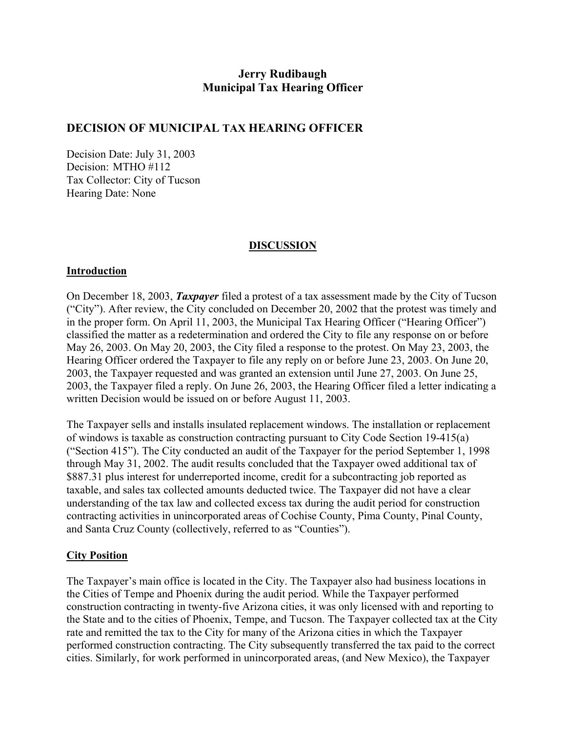# **Jerry Rudibaugh Municipal Tax Hearing Officer**

## **DECISION OF MUNICIPAL TAX HEARING OFFICER**

Decision Date: July 31, 2003 Decision: MTHO #112 Tax Collector: City of Tucson Hearing Date: None

#### **DISCUSSION**

#### **Introduction**

On December 18, 2003, *Taxpayer* filed a protest of a tax assessment made by the City of Tucson ("City"). After review, the City concluded on December 20, 2002 that the protest was timely and in the proper form. On April 11, 2003, the Municipal Tax Hearing Officer ("Hearing Officer") classified the matter as a redetermination and ordered the City to file any response on or before May 26, 2003. On May 20, 2003, the City filed a response to the protest. On May 23, 2003, the Hearing Officer ordered the Taxpayer to file any reply on or before June 23, 2003. On June 20, 2003, the Taxpayer requested and was granted an extension until June 27, 2003. On June 25, 2003, the Taxpayer filed a reply. On June 26, 2003, the Hearing Officer filed a letter indicating a written Decision would be issued on or before August 11, 2003.

The Taxpayer sells and installs insulated replacement windows. The installation or replacement of windows is taxable as construction contracting pursuant to City Code Section 19-415(a) ("Section 415"). The City conducted an audit of the Taxpayer for the period September 1, 1998 through May 31, 2002. The audit results concluded that the Taxpayer owed additional tax of \$887.31 plus interest for underreported income, credit for a subcontracting job reported as taxable, and sales tax collected amounts deducted twice. The Taxpayer did not have a clear understanding of the tax law and collected excess tax during the audit period for construction contracting activities in unincorporated areas of Cochise County, Pima County, Pinal County, and Santa Cruz County (collectively, referred to as "Counties").

#### **City Position**

The Taxpayer's main office is located in the City. The Taxpayer also had business locations in the Cities of Tempe and Phoenix during the audit period. While the Taxpayer performed construction contracting in twenty-five Arizona cities, it was only licensed with and reporting to the State and to the cities of Phoenix, Tempe, and Tucson. The Taxpayer collected tax at the City rate and remitted the tax to the City for many of the Arizona cities in which the Taxpayer performed construction contracting. The City subsequently transferred the tax paid to the correct cities. Similarly, for work performed in unincorporated areas, (and New Mexico), the Taxpayer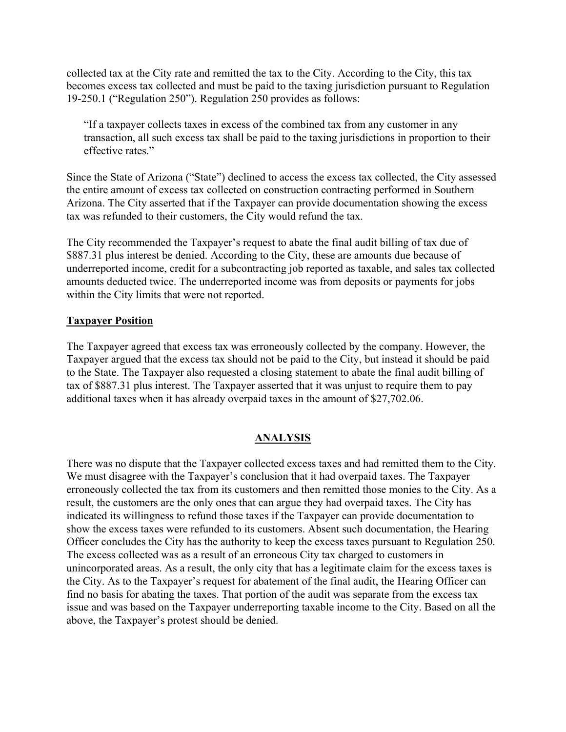collected tax at the City rate and remitted the tax to the City. According to the City, this tax becomes excess tax collected and must be paid to the taxing jurisdiction pursuant to Regulation 19-250.1 ("Regulation 250"). Regulation 250 provides as follows:

"If a taxpayer collects taxes in excess of the combined tax from any customer in any transaction, all such excess tax shall be paid to the taxing jurisdictions in proportion to their effective rates."

Since the State of Arizona ("State") declined to access the excess tax collected, the City assessed the entire amount of excess tax collected on construction contracting performed in Southern Arizona. The City asserted that if the Taxpayer can provide documentation showing the excess tax was refunded to their customers, the City would refund the tax.

The City recommended the Taxpayer's request to abate the final audit billing of tax due of \$887.31 plus interest be denied. According to the City, these are amounts due because of underreported income, credit for a subcontracting job reported as taxable, and sales tax collected amounts deducted twice. The underreported income was from deposits or payments for jobs within the City limits that were not reported.

#### **Taxpayer Position**

The Taxpayer agreed that excess tax was erroneously collected by the company. However, the Taxpayer argued that the excess tax should not be paid to the City, but instead it should be paid to the State. The Taxpayer also requested a closing statement to abate the final audit billing of tax of \$887.31 plus interest. The Taxpayer asserted that it was unjust to require them to pay additional taxes when it has already overpaid taxes in the amount of \$27,702.06.

### **ANALYSIS**

There was no dispute that the Taxpayer collected excess taxes and had remitted them to the City. We must disagree with the Taxpayer's conclusion that it had overpaid taxes. The Taxpayer erroneously collected the tax from its customers and then remitted those monies to the City. As a result, the customers are the only ones that can argue they had overpaid taxes. The City has indicated its willingness to refund those taxes if the Taxpayer can provide documentation to show the excess taxes were refunded to its customers. Absent such documentation, the Hearing Officer concludes the City has the authority to keep the excess taxes pursuant to Regulation 250. The excess collected was as a result of an erroneous City tax charged to customers in unincorporated areas. As a result, the only city that has a legitimate claim for the excess taxes is the City. As to the Taxpayer's request for abatement of the final audit, the Hearing Officer can find no basis for abating the taxes. That portion of the audit was separate from the excess tax issue and was based on the Taxpayer underreporting taxable income to the City. Based on all the above, the Taxpayer's protest should be denied.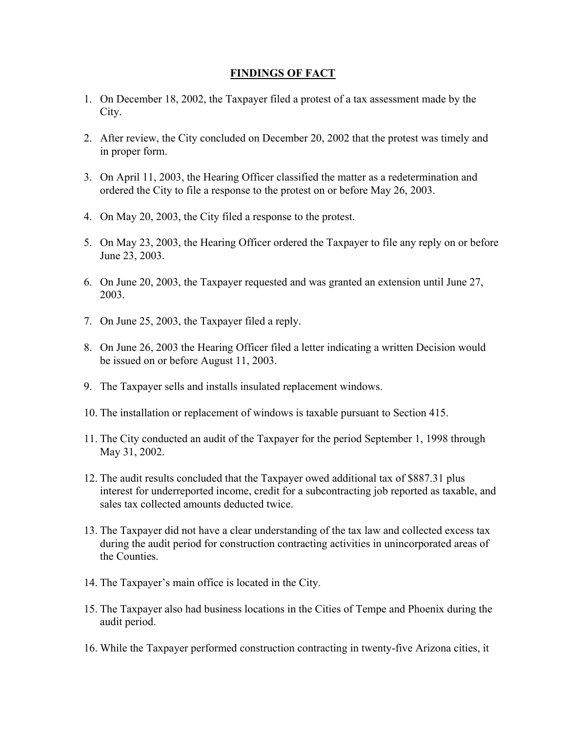### **FINDINGS OF FACT**

- 1. On December 18, 2002, the Taxpayer filed a protest of a tax assessment made by the City.
- 2. After review, the City concluded on December 20, 2002 that the protest was timely and in proper form.
- 3. On April 11, 2003, the Hearing Officer classified the matter as a redetermination and ordered the City to file a response to the protest on or before May 26, 2003.
- 4. On May 20, 2003, the City filed a response to the protest.
- 5. On May 23, 2003, the Hearing Officer ordered the Taxpayer to file any reply on or before June 23, 2003.
- 6. On June 20, 2003, the Taxpayer requested and was granted an extension until June 27, 2003.
- 7. On June 25, 2003, the Taxpayer filed a reply.
- 8. On June 26, 2003 the Hearing Officer filed a letter indicating a written Decision would be issued on or before August 11, 2003.
- 9. The Taxpayer sells and installs insulated replacement windows.
- 10. The installation or replacement of windows is taxable pursuant to Section 415.
- 11. The City conducted an audit of the Taxpayer for the period September 1, 1998 through May 31, 2002.
- 12. The audit results concluded that the Taxpayer owed additional tax of \$887.31 plus interest for underreported income, credit for a subcontracting job reported as taxable, and sales tax collected amounts deducted twice.
- 13. The Taxpayer did not have a clear understanding of the tax law and collected excess tax during the audit period for construction contracting activities in unincorporated areas of the Counties.
- 14. The Taxpayer's main office is located in the City.
- 15. The Taxpayer also had business locations in the Cities of Tempe and Phoenix during the audit period.
- 16. While the Taxpayer performed construction contracting in twenty-five Arizona cities, it